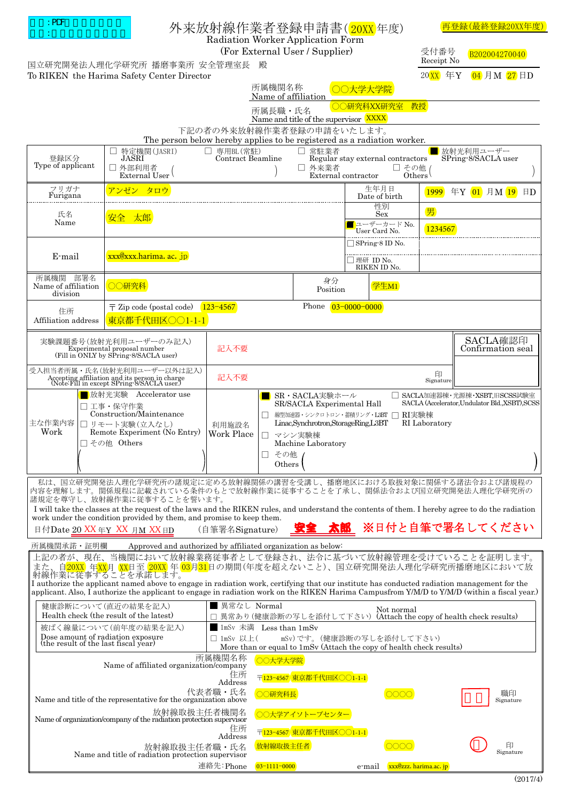| $:$ PDF<br>外来放射線作業者登録申請書( <mark>20XX</mark> 年度)<br>Radiation Worker Application Form                                                                                                                                                                                                                                                                                                                                                                                        |                                                                                                                                  |                                                                                                                                                                                                                                                                                                                             |                               |                              |                       | (最終登録20XX年度)                              |  |
|-----------------------------------------------------------------------------------------------------------------------------------------------------------------------------------------------------------------------------------------------------------------------------------------------------------------------------------------------------------------------------------------------------------------------------------------------------------------------------|----------------------------------------------------------------------------------------------------------------------------------|-----------------------------------------------------------------------------------------------------------------------------------------------------------------------------------------------------------------------------------------------------------------------------------------------------------------------------|-------------------------------|------------------------------|-----------------------|-------------------------------------------|--|
| (For External User / Supplier)<br>国立研究開発法人理化学研究所 播磨事業所 安全管理室長                                                                                                                                                                                                                                                                                                                                                                                                               |                                                                                                                                  |                                                                                                                                                                                                                                                                                                                             |                               |                              | 受付番号<br>Receipt No    | B202004270040                             |  |
| 04 月M 27 日D<br>$20$ XX 年Y<br>To RIKEN the Harima Safety Center Director<br>所属機関名称                                                                                                                                                                                                                                                                                                                                                                                           |                                                                                                                                  |                                                                                                                                                                                                                                                                                                                             |                               |                              |                       |                                           |  |
| ○○大学大学院<br>Name of affiliation<br>○○研究科XX研究室                                                                                                                                                                                                                                                                                                                                                                                                                                |                                                                                                                                  |                                                                                                                                                                                                                                                                                                                             |                               |                              |                       |                                           |  |
| 教授<br>所属長職·氏名<br>Name and title of the supervisor XXXX                                                                                                                                                                                                                                                                                                                                                                                                                      |                                                                                                                                  |                                                                                                                                                                                                                                                                                                                             |                               |                              |                       |                                           |  |
| 下記の者の外来放射線作業者登録の申請をいたします。<br>The person below hereby applies to be registered as a radiation worker.                                                                                                                                                                                                                                                                                                                                                                        |                                                                                                                                  |                                                                                                                                                                                                                                                                                                                             |                               |                              |                       |                                           |  |
| 専用BL(常駐)<br>□ 常駐業者<br>特定機関(JASRI)<br>放射光利用ユーザー<br>П<br>ப<br>Contract Beamline<br>登録区分<br>JASRI<br>Regular stay external contractors<br>SPring-8/SACLA user                                                                                                                                                                                                                                                                                                                  |                                                                                                                                  |                                                                                                                                                                                                                                                                                                                             |                               |                              |                       |                                           |  |
| Type of applicant                                                                                                                                                                                                                                                                                                                                                                                                                                                           | □ 外部利用者<br>External User                                                                                                         |                                                                                                                                                                                                                                                                                                                             | □ 外来業者<br>External contractor |                              | $\square$ その他 (Others |                                           |  |
| フリガナ<br>Furigana                                                                                                                                                                                                                                                                                                                                                                                                                                                            | アンゼン タロウ                                                                                                                         |                                                                                                                                                                                                                                                                                                                             |                               | 生年月日<br>Date of birth        |                       | 1999 年Y 01 月M 19<br>$\boxminus$           |  |
| 氏名                                                                                                                                                                                                                                                                                                                                                                                                                                                                          | 性別<br>Sex<br>安全太郎                                                                                                                |                                                                                                                                                                                                                                                                                                                             |                               |                              | 男                     |                                           |  |
| Name                                                                                                                                                                                                                                                                                                                                                                                                                                                                        |                                                                                                                                  |                                                                                                                                                                                                                                                                                                                             |                               | ユーザーカード No.<br>User Card No. | 1234567               |                                           |  |
| E-mail                                                                                                                                                                                                                                                                                                                                                                                                                                                                      | xxx@xxx.harima. ac. jp                                                                                                           |                                                                                                                                                                                                                                                                                                                             |                               | $\Box$ SPring-8 ID No.       |                       |                                           |  |
|                                                                                                                                                                                                                                                                                                                                                                                                                                                                             |                                                                                                                                  |                                                                                                                                                                                                                                                                                                                             |                               | □ 理研 ID No.<br>RIKEN ID No.  |                       |                                           |  |
| 所属機関 部署名<br>Name of affiliation<br>division                                                                                                                                                                                                                                                                                                                                                                                                                                 | ○○研究科                                                                                                                            |                                                                                                                                                                                                                                                                                                                             | 身分<br>Position                | 学生M1                         |                       |                                           |  |
| 住所                                                                                                                                                                                                                                                                                                                                                                                                                                                                          | $\overline{\tau}$ Zip code (postal code) 123-4567<br>Phone 03-0000-0000                                                          |                                                                                                                                                                                                                                                                                                                             |                               |                              |                       |                                           |  |
| Affiliation address                                                                                                                                                                                                                                                                                                                                                                                                                                                         | 東京都千代田区○○1-1-1                                                                                                                   |                                                                                                                                                                                                                                                                                                                             |                               |                              |                       |                                           |  |
| 実験課題番号(放射光利用ユーザーのみ記入)<br>Experimental proposal number<br>(Fill in ONLY by SPring-8/SACLA user)                                                                                                                                                                                                                                                                                                                                                                              |                                                                                                                                  | 記入不要                                                                                                                                                                                                                                                                                                                        |                               |                              |                       | SACLA確認印<br>Confirmation seal             |  |
| 受入担当者所属・氏名(放射光利用ユーザー以外は記入)<br>Accepting affiliation and its person in charge<br>(Note:Fill in except SPring-8/SACLA user.)                                                                                                                                                                                                                                                                                                                                                  |                                                                                                                                  | 記入不要                                                                                                                                                                                                                                                                                                                        |                               |                              | 印<br>Signature        |                                           |  |
| 主な作業内容<br>Work                                                                                                                                                                                                                                                                                                                                                                                                                                                              | Accelerator use<br>■放射光実験<br>工事・保守作業<br>Construction/Maintenance<br>□ リモート実験(立入なし)<br>Remote Experiment (No Entry)<br>その他 Others | □ SACLA加速器棟·光源棟·XSBT.旧SCSS試験室<br>■ SR・SACLA実験ホール<br>SACLA (Accelerator.Undulator Bld.,XSBT).SCSS<br>SR/SACLA Experimental Hall<br>線型加速器・シンクロトロン・蓄積リング・L3BT □ RI実験棟<br>$\mathsf{L}$<br>Linac, Synchrotron, StorageRing, L3BT<br>RI Laboratory<br>利用施設名<br>Work Place<br>マシン実験棟<br>П<br>Machine Laboratory<br>□ その他<br>Others |                               |                              |                       |                                           |  |
| 私は、国立研究開発法人理化学研究所の諸規定に定める放射線関係の講習を受講し、播磨地区における取扱対象に関係する諸法令および諸規程の<br>内容を理解します。関係規程に記載されている条件のもとで放射線作業に従事することを了承し、関係法令および国立研究開発法人理化学研究所の<br>諸規定を尊守し、放射線作業に従事することを誓います。<br>I will take the classes at the request of the laws and the RIKEN rules, and understand the contents of them. I hereby agree to do the radiation<br>work under the condition provided by them, and promise to keep them.<br>※日付と自筆で署名してください<br>太郎<br>(自筆署名Signature)<br>日付Date 20 XX 年Y XX 月M XX 日D |                                                                                                                                  |                                                                                                                                                                                                                                                                                                                             |                               |                              |                       |                                           |  |
| 所属機関承諾・証明欄<br>Approved and authorized by affiliated organization as below:<br>上記の者が、現在、当機関において放射線業務従事者として登録され、法令に基づいて放射線管理を受けていることを証明します。                                                                                                                                                                                                                                                                                                                                   |                                                                                                                                  |                                                                                                                                                                                                                                                                                                                             |                               |                              |                       |                                           |  |
| <u>自<mark>20XX</mark> 年XX</u> 月 XX日至_ <mark>20XX</mark> 年 <mark>03月31</mark> 日の期間(年度を超えないこと)、国立研究開発法人理化学研究所播磨地区において放<br>射線作業に従事することを承諾します。<br>I authorize the applicant named above to engage in radiation work, certifying that our institute has conducted radiation management for the                                                                                                                                                                                   |                                                                                                                                  |                                                                                                                                                                                                                                                                                                                             |                               |                              |                       |                                           |  |
| applicant. Also, I authorize the applicant to engage in radiation work on the RIKEN Harima Campusfrom Y/M/D to Y/M/D (within a fiscal year.)                                                                                                                                                                                                                                                                                                                                |                                                                                                                                  |                                                                                                                                                                                                                                                                                                                             |                               |                              |                       |                                           |  |
|                                                                                                                                                                                                                                                                                                                                                                                                                                                                             | 健康診断について(直近の結果を記入)<br>Health check (the result of the latest)                                                                    | ■ 異常なし Normal<br>□ 異常あり(健康診断の写しを添付して下さい)                                                                                                                                                                                                                                                                                    |                               | Not normal                   |                       | (Attach the copy of health check results) |  |
| Dose amount of radiation exposure                                                                                                                                                                                                                                                                                                                                                                                                                                           | 被ばく線量について(前年度の結果を記入)                                                                                                             | 1mSv 未満 Less than 1mSv<br>□ 1mSv 以上(<br>mSv)です。(健康診断の写しを添付して下さい)                                                                                                                                                                                                                                                            |                               |                              |                       |                                           |  |
| (the result of the last fiscal year)<br>More than or equal to 1mSv (Attach the copy of health check results)                                                                                                                                                                                                                                                                                                                                                                |                                                                                                                                  |                                                                                                                                                                                                                                                                                                                             |                               |                              |                       |                                           |  |
| 所属機関名称<br>○○大学大学院<br>Name of affiliated organization/company<br>住所<br>〒123-4567 東京都千代田区○○1-1-1<br>Address                                                                                                                                                                                                                                                                                                                                                                   |                                                                                                                                  |                                                                                                                                                                                                                                                                                                                             |                               |                              |                       |                                           |  |
| 代表者職・氏名<br>職印<br>○○研究科長<br>0000<br>Name and title of the representative for the organization above<br>Signature                                                                                                                                                                                                                                                                                                                                                             |                                                                                                                                  |                                                                                                                                                                                                                                                                                                                             |                               |                              |                       |                                           |  |
| 放射線取扱主任者機関名<br>○○大学アイソトープセンター<br>Name of organization/company of the radiation protection supervisor<br>住所                                                                                                                                                                                                                                                                                                                                                                  |                                                                                                                                  |                                                                                                                                                                                                                                                                                                                             |                               |                              |                       |                                           |  |
| 〒123-4567 東京都千代田区○○1-1-1<br>Address<br>放射線取扱主任者<br>印<br>OOOC<br>放射線取扱主任者職・氏名<br>Signature<br>Name and title of radiation protection supervisor                                                                                                                                                                                                                                                                                                                              |                                                                                                                                  |                                                                                                                                                                                                                                                                                                                             |                               |                              |                       |                                           |  |
| 連絡先:Phone<br>$03 - 1111 - 0000$<br>xxx@zzz. harima.ac. jp<br>e-mail                                                                                                                                                                                                                                                                                                                                                                                                         |                                                                                                                                  |                                                                                                                                                                                                                                                                                                                             |                               |                              |                       |                                           |  |